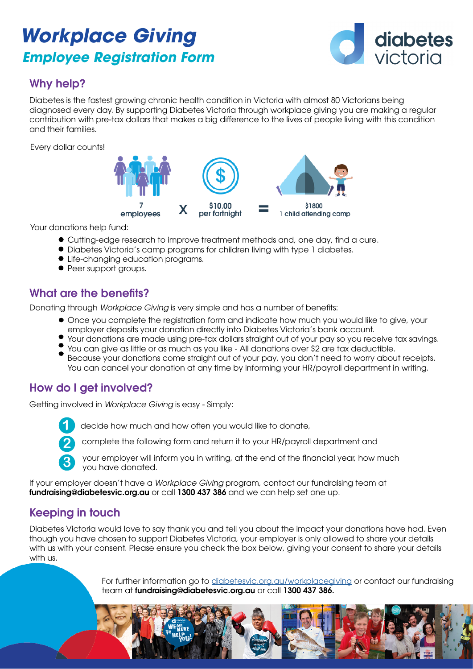# *Workplace Giving Employee Registration Form*



## Why help?

Diabetes is the fastest growing chronic health condition in Victoria with almost 80 Victorians being diagnosed every day. By supporting Diabetes Victoria through workplace giving you are making a regular contribution with pre-tax dollars that makes a big difference to the lives of people living with this condition and their families.

Every dollar counts!



Your donations help fund:

- Cutting-edge research to improve treatment methods and, one day, find a cure.
- Diabetes Victoria's camp programs for children living with type 1 diabetes.
- Life-changing education programs.
- Peer support groups.

### What are the benefits?

Donating through *Workplace Giving* is very simple and has a number of benefits:

- Once you complete the registration form and indicate how much you would like to give, your employer deposits your donation directly into Diabetes Victoria's bank account.
- Your donations are made using pre-tax dollars straight out of your pay so you receive tax savings.
- You can give as little or as much as you like All donations over \$2 are tax deductible. Because your donations come straight out of your pay, you don't need to worry about receipts. You can cancel your donation at any time by informing your HR/payroll department in writing.

### How do I get involved?

Getting involved in *Workplace Giving* is easy - Simply:



**2**

**3**

**1** decide how much and how often you would like to donate,

complete the following form and return it to your HR/payroll department and

your employer will inform you in writing, at the end of the financial year, how much you have donated.

If your employer doesn't have a *Workplace Giving* program, contact our fundraising team at fundraising@diabetesvic.org.au or call 1300 437 386 and we can help set one up.

## Keeping in touch

Diabetes Victoria would love to say thank you and tell you about the impact your donations have had. Even though you have chosen to support Diabetes Victoria, your employer is only allowed to share your details with us with your consent. Please ensure you check the box below, giving your consent to share your details with us.

> For further information go to [diabetesvic.org.au/workplacegiving](http://diabetesvic.org.au/workplacegiving) or contact our fundraising team at fundraising@diabetesvic.org.au or call 1300 437 386.